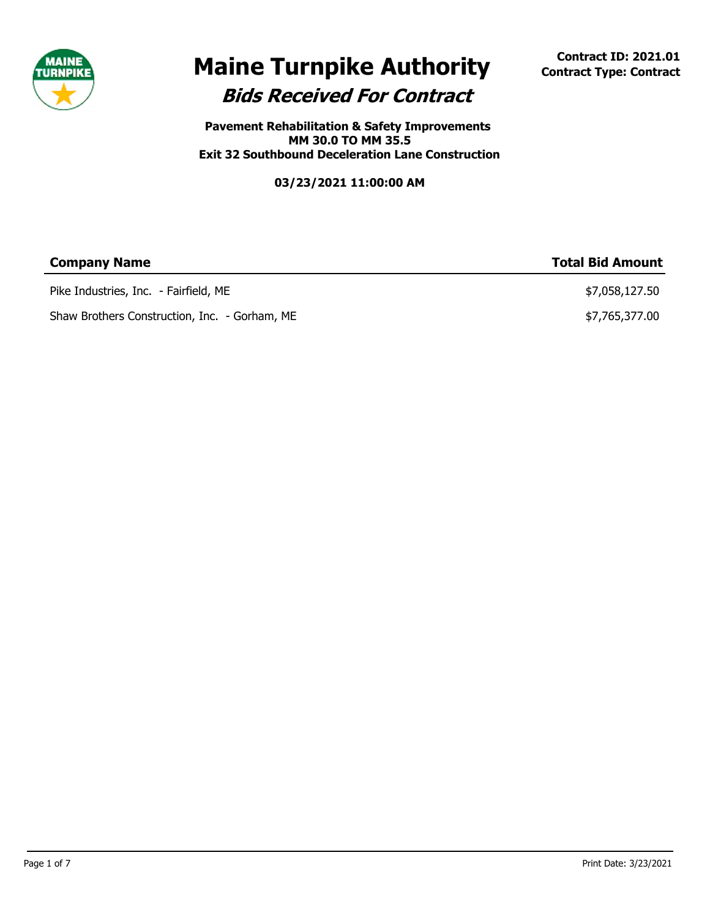

# **Bids Received For Contract Maine Turnpike Authority Contract ID: 2021.01 Contract** Type: Contract

**Pavement Rehabilitation & Safety Improvements MM 30.0 TO MM 35.5 Exit 32 Southbound Deceleration Lane Construction**

| <b>Company Name</b>                           | <b>Total Bid Amount</b> |
|-----------------------------------------------|-------------------------|
| Pike Industries, Inc. - Fairfield, ME         | \$7,058,127.50          |
| Shaw Brothers Construction, Inc. - Gorham, ME | \$7,765,377.00          |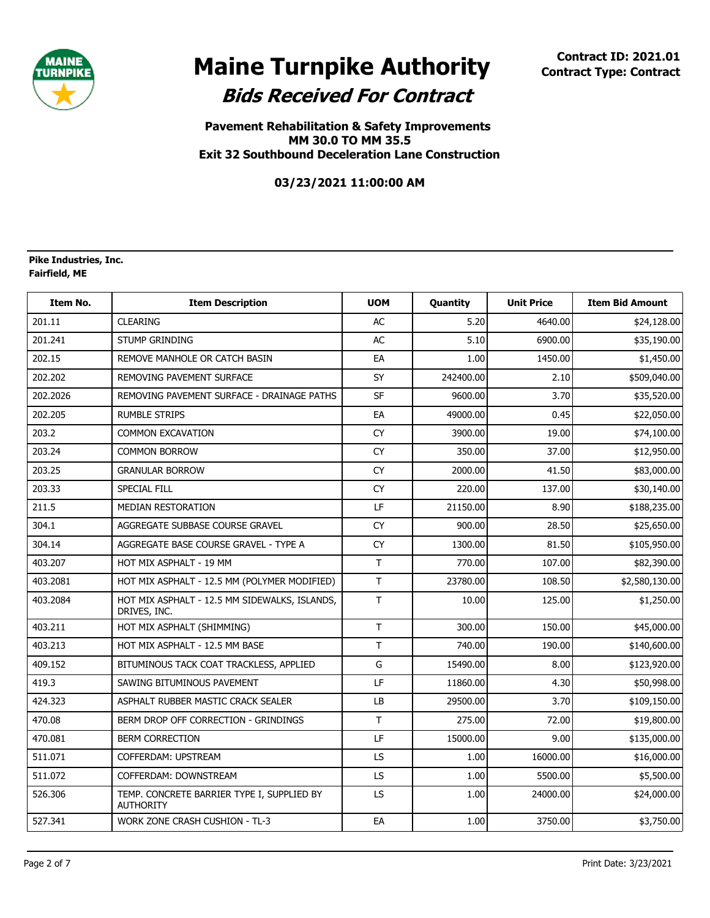

**Pavement Rehabilitation & Safety Improvements MM 30.0 TO MM 35.5 Exit 32 Southbound Deceleration Lane Construction**

**03/23/2021 11:00:00 AM**

#### **Fairfield, ME Pike Industries, Inc.**

| Item No. | <b>Item Description</b>                                        | <b>UOM</b> | Quantity  | <b>Unit Price</b> | <b>Item Bid Amount</b> |
|----------|----------------------------------------------------------------|------------|-----------|-------------------|------------------------|
| 201.11   | <b>CLEARING</b>                                                | AC         | 5.20      | 4640.00           | \$24,128.00            |
| 201.241  | <b>STUMP GRINDING</b>                                          | AC         | 5.10      | 6900.00           | \$35,190.00            |
| 202.15   | REMOVE MANHOLE OR CATCH BASIN                                  | EA         | 1.00      | 1450.00           | \$1,450.00             |
| 202.202  | REMOVING PAVEMENT SURFACE                                      | SY         | 242400.00 | 2.10              | \$509,040.00           |
| 202.2026 | REMOVING PAVEMENT SURFACE - DRAINAGE PATHS                     | <b>SF</b>  | 9600.00   | 3.70              | \$35,520.00            |
| 202.205  | <b>RUMBLE STRIPS</b>                                           | EA         | 49000.00  | 0.45              | \$22,050.00            |
| 203.2    | <b>COMMON EXCAVATION</b>                                       | <b>CY</b>  | 3900.00   | 19.00             | \$74,100.00            |
| 203.24   | <b>COMMON BORROW</b>                                           | <b>CY</b>  | 350.00    | 37.00             | \$12,950.00            |
| 203.25   | <b>GRANULAR BORROW</b>                                         | <b>CY</b>  | 2000.00   | 41.50             | \$83,000.00            |
| 203.33   | <b>SPECIAL FILL</b>                                            | <b>CY</b>  | 220.00    | 137.00            | \$30,140.00            |
| 211.5    | <b>MEDIAN RESTORATION</b>                                      | LF         | 21150.00  | 8.90              | \$188,235.00           |
| 304.1    | AGGREGATE SUBBASE COURSE GRAVEL                                | <b>CY</b>  | 900.00    | 28.50             | \$25,650.00            |
| 304.14   | AGGREGATE BASE COURSE GRAVEL - TYPE A                          | <b>CY</b>  | 1300.00   | 81.50             | \$105,950.00           |
| 403.207  | HOT MIX ASPHALT - 19 MM                                        | T          | 770.00    | 107.00            | \$82,390.00            |
| 403.2081 | HOT MIX ASPHALT - 12.5 MM (POLYMER MODIFIED)                   | T.         | 23780.00  | 108.50            | \$2,580,130.00         |
| 403.2084 | HOT MIX ASPHALT - 12.5 MM SIDEWALKS, ISLANDS,<br>DRIVES, INC.  | T          | 10.00     | 125.00            | \$1,250.00             |
| 403.211  | HOT MIX ASPHALT (SHIMMING)                                     | T.         | 300.00    | 150.00            | \$45,000.00            |
| 403.213  | HOT MIX ASPHALT - 12.5 MM BASE                                 | T          | 740.00    | 190.00            | \$140,600.00           |
| 409.152  | BITUMINOUS TACK COAT TRACKLESS, APPLIED                        | G          | 15490.00  | 8.00              | \$123,920.00           |
| 419.3    | SAWING BITUMINOUS PAVEMENT                                     | LF         | 11860.00  | 4.30              | \$50,998.00            |
| 424.323  | ASPHALT RUBBER MASTIC CRACK SEALER                             | LB         | 29500.00  | 3.70              | \$109,150.00           |
| 470.08   | BERM DROP OFF CORRECTION - GRINDINGS                           | T.         | 275.00    | 72.00             | \$19,800.00            |
| 470.081  | <b>BERM CORRECTION</b>                                         | LF         | 15000.00  | 9.00              | \$135,000.00           |
| 511.071  | COFFERDAM: UPSTREAM                                            | LS         | 1.00      | 16000.00          | \$16,000.00            |
| 511.072  | COFFERDAM: DOWNSTREAM                                          | LS         | 1.00      | 5500.00           | \$5,500.00             |
| 526.306  | TEMP. CONCRETE BARRIER TYPE I, SUPPLIED BY<br><b>AUTHORITY</b> | LS         | 1.00      | 24000.00          | \$24,000.00            |
| 527.341  | WORK ZONE CRASH CUSHION - TL-3                                 | EA         | 1.00      | 3750.00           | \$3,750.00             |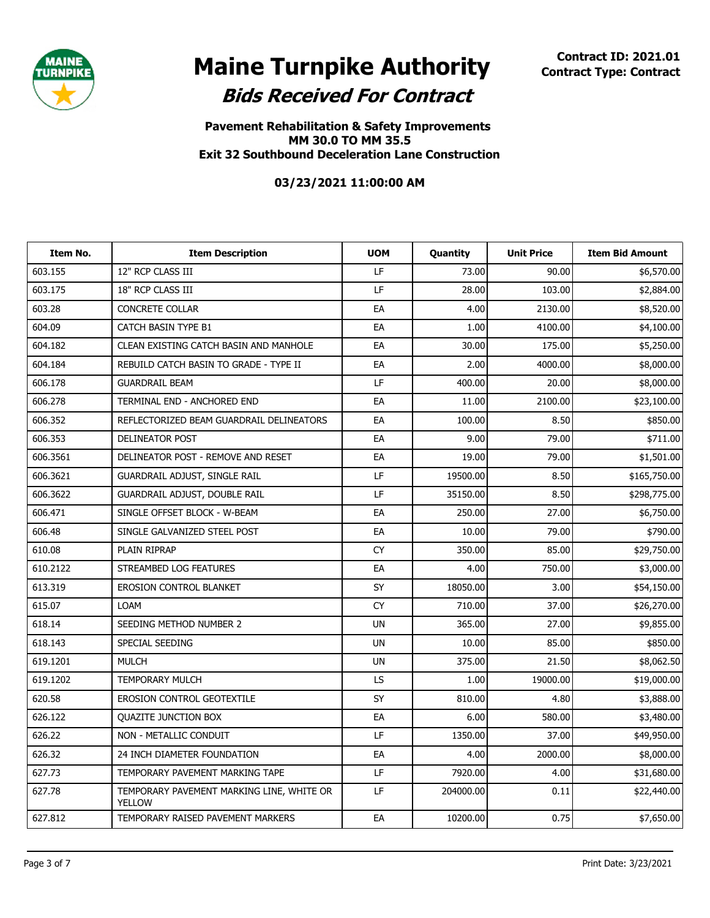

**Pavement Rehabilitation & Safety Improvements MM 30.0 TO MM 35.5 Exit 32 Southbound Deceleration Lane Construction**

| Item No. | <b>Item Description</b>                                    | <b>UOM</b> | Quantity  | <b>Unit Price</b> | <b>Item Bid Amount</b> |
|----------|------------------------------------------------------------|------------|-----------|-------------------|------------------------|
| 603.155  | 12" RCP CLASS III                                          | LF         | 73.00     | 90.00             | \$6,570.00             |
| 603.175  | 18" RCP CLASS III                                          | LF         | 28.00     | 103.00            | \$2,884.00             |
| 603.28   | <b>CONCRETE COLLAR</b>                                     | EA         | 4.00      | 2130.00           | \$8,520.00             |
| 604.09   | <b>CATCH BASIN TYPE B1</b>                                 | EA         | 1.00      | 4100.00           | \$4,100.00             |
| 604.182  | CLEAN EXISTING CATCH BASIN AND MANHOLE                     | EA         | 30.00     | 175.00            | \$5,250.00             |
| 604.184  | REBUILD CATCH BASIN TO GRADE - TYPE II                     | EA         | 2.00      | 4000.00           | \$8,000.00             |
| 606.178  | <b>GUARDRAIL BEAM</b>                                      | LF         | 400.00    | 20.00             | \$8,000.00             |
| 606.278  | TERMINAL END - ANCHORED END                                | EA         | 11.00     | 2100.00           | \$23,100.00            |
| 606.352  | REFLECTORIZED BEAM GUARDRAIL DELINEATORS                   | EA         | 100.00    | 8.50              | \$850.00               |
| 606.353  | DELINEATOR POST                                            | EA         | 9.00      | 79.00             | \$711.00               |
| 606.3561 | DELINEATOR POST - REMOVE AND RESET                         | EA         | 19.00     | 79.00             | \$1,501.00             |
| 606.3621 | GUARDRAIL ADJUST, SINGLE RAIL                              | LF         | 19500.00  | 8.50              | \$165,750.00           |
| 606.3622 | GUARDRAIL ADJUST, DOUBLE RAIL                              | LF         | 35150.00  | 8.50              | \$298,775.00           |
| 606.471  | SINGLE OFFSET BLOCK - W-BEAM                               | EA         | 250.00    | 27.00             | \$6,750.00             |
| 606.48   | SINGLE GALVANIZED STEEL POST                               | EA         | 10.00     | 79.00             | \$790.00               |
| 610.08   | PLAIN RIPRAP                                               | <b>CY</b>  | 350.00    | 85.00             | \$29,750.00            |
| 610.2122 | STREAMBED LOG FEATURES                                     | EA         | 4.00      | 750.00            | \$3,000.00             |
| 613.319  | <b>EROSION CONTROL BLANKET</b>                             | SY         | 18050.00  | 3.00              | \$54,150.00            |
| 615.07   | <b>LOAM</b>                                                | <b>CY</b>  | 710.00    | 37.00             | \$26,270.00            |
| 618.14   | SEEDING METHOD NUMBER 2                                    | <b>UN</b>  | 365.00    | 27.00             | \$9,855.00             |
| 618.143  | SPECIAL SEEDING                                            | <b>UN</b>  | 10.00     | 85.00             | \$850.00               |
| 619.1201 | <b>MULCH</b>                                               | <b>UN</b>  | 375.00    | 21.50             | \$8,062.50             |
| 619.1202 | <b>TEMPORARY MULCH</b>                                     | LS.        | 1.00      | 19000.00          | \$19,000.00            |
| 620.58   | <b>EROSION CONTROL GEOTEXTILE</b>                          | SY         | 810.00    | 4.80              | \$3,888.00             |
| 626.122  | <b>OUAZITE JUNCTION BOX</b>                                | EA         | 6.00      | 580.00            | \$3,480.00             |
| 626.22   | NON - METALLIC CONDUIT                                     | LF         | 1350.00   | 37.00             | \$49,950.00            |
| 626.32   | 24 INCH DIAMETER FOUNDATION                                | EA         | 4.00      | 2000.00           | \$8,000.00             |
| 627.73   | TEMPORARY PAVEMENT MARKING TAPE                            | <b>LF</b>  | 7920.00   | 4.00              | \$31,680.00            |
| 627.78   | TEMPORARY PAVEMENT MARKING LINE, WHITE OR<br><b>YELLOW</b> | LF         | 204000.00 | 0.11              | \$22,440.00            |
| 627.812  | TEMPORARY RAISED PAVEMENT MARKERS                          | EA         | 10200.00  | 0.75              | \$7,650.00             |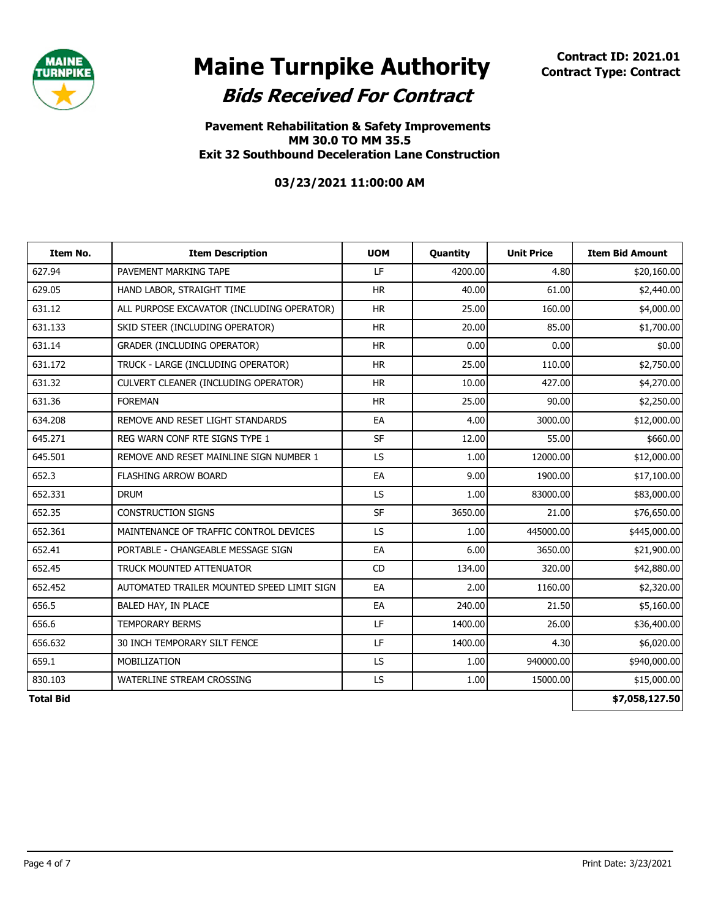

**Pavement Rehabilitation & Safety Improvements MM 30.0 TO MM 35.5 Exit 32 Southbound Deceleration Lane Construction**

| Item No.         | <b>Item Description</b>                    | <b>UOM</b> | <b>Quantity</b> | <b>Unit Price</b> | <b>Item Bid Amount</b> |
|------------------|--------------------------------------------|------------|-----------------|-------------------|------------------------|
| 627.94           | PAVEMENT MARKING TAPE                      | LF         | 4200.00         | 4.80              | \$20,160.00            |
| 629.05           | HAND LABOR, STRAIGHT TIME                  | <b>HR</b>  | 40.00           | 61.00             | \$2,440.00             |
| 631.12           | ALL PURPOSE EXCAVATOR (INCLUDING OPERATOR) | <b>HR</b>  | 25.00           | 160.00            | \$4,000.00             |
| 631.133          | SKID STEER (INCLUDING OPERATOR)            | <b>HR</b>  | 20.00           | 85.00             | \$1,700.00             |
| 631.14           | GRADER (INCLUDING OPERATOR)                | <b>HR</b>  | 0.00            | 0.00              | \$0.00                 |
| 631.172          | TRUCK - LARGE (INCLUDING OPERATOR)         | <b>HR</b>  | 25.00           | 110.00            | \$2,750.00             |
| 631.32           | CULVERT CLEANER (INCLUDING OPERATOR)       | <b>HR</b>  | 10.00           | 427.00            | \$4,270.00             |
| 631.36           | <b>FOREMAN</b>                             | <b>HR</b>  | 25.00           | 90.00             | \$2,250.00             |
| 634.208          | REMOVE AND RESET LIGHT STANDARDS           | EA         | 4.00            | 3000.00           | \$12,000.00            |
| 645.271          | REG WARN CONF RTE SIGNS TYPE 1             | <b>SF</b>  | 12.00           | 55.00             | \$660.00               |
| 645.501          | REMOVE AND RESET MAINLINE SIGN NUMBER 1    | LS.        | 1.00            | 12000.00          | \$12,000.00            |
| 652.3            | <b>FLASHING ARROW BOARD</b>                | EA         | 9.00            | 1900.00           | \$17,100.00            |
| 652.331          | <b>DRUM</b>                                | LS.        | 1.00            | 83000.00          | \$83,000.00            |
| 652.35           | <b>CONSTRUCTION SIGNS</b>                  | <b>SF</b>  | 3650.00         | 21.00             | \$76,650.00            |
| 652.361          | MAINTENANCE OF TRAFFIC CONTROL DEVICES     | LS.        | 1.00            | 445000.00         | \$445,000.00           |
| 652.41           | PORTABLE - CHANGEABLE MESSAGE SIGN         | EA         | 6.00            | 3650.00           | \$21,900.00            |
| 652.45           | TRUCK MOUNTED ATTENUATOR                   | <b>CD</b>  | 134.00          | 320.00            | \$42,880.00            |
| 652.452          | AUTOMATED TRAILER MOUNTED SPEED LIMIT SIGN | EA         | 2.00            | 1160.00           | \$2,320.00             |
| 656.5            | BALED HAY, IN PLACE                        | EA         | 240.00          | 21.50             | \$5,160.00             |
| 656.6            | <b>TEMPORARY BERMS</b>                     | LF         | 1400.00         | 26.00             | \$36,400.00            |
| 656.632          | 30 INCH TEMPORARY SILT FENCE               | LF         | 1400.00         | 4.30              | \$6,020.00             |
| 659.1            | MOBILIZATION                               | LS.        | 1.00            | 940000.00         | \$940,000.00           |
| 830.103          | WATERLINE STREAM CROSSING                  | LS.        | 1.00            | 15000.00          | \$15,000.00            |
| <b>Total Bid</b> |                                            |            |                 |                   | \$7,058,127.50         |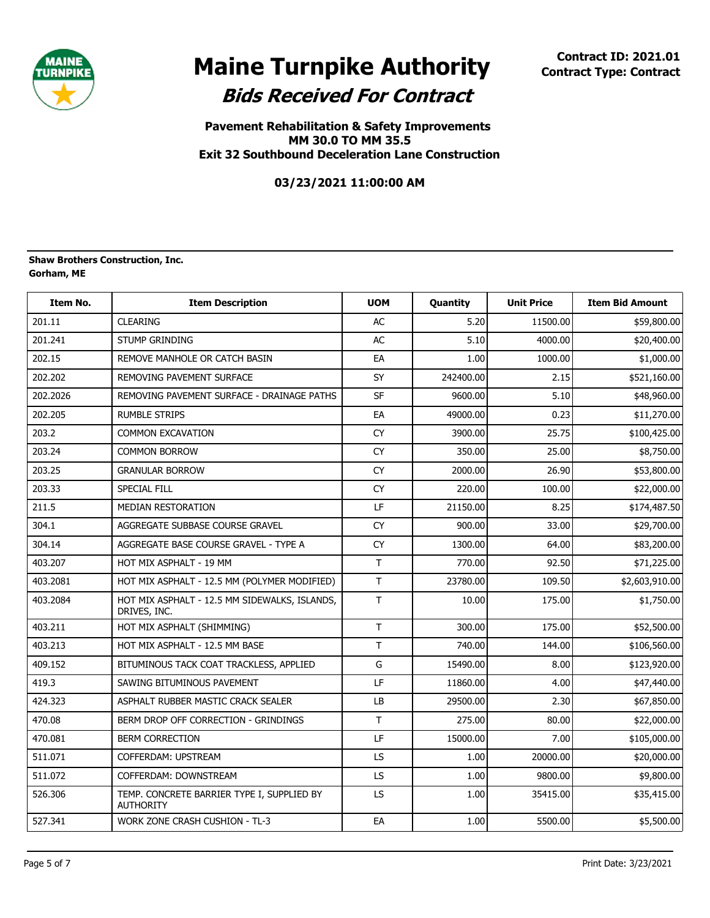

**Pavement Rehabilitation & Safety Improvements MM 30.0 TO MM 35.5 Exit 32 Southbound Deceleration Lane Construction**

**03/23/2021 11:00:00 AM**

#### **Gorham, ME Shaw Brothers Construction, Inc.**

| <b>Item No.</b> | <b>Item Description</b>                                        | <b>UOM</b>   | Quantity  | <b>Unit Price</b> | <b>Item Bid Amount</b> |
|-----------------|----------------------------------------------------------------|--------------|-----------|-------------------|------------------------|
| 201.11          | <b>CLEARING</b>                                                | <b>AC</b>    | 5.20      | 11500.00          | \$59,800.00            |
| 201.241         | <b>STUMP GRINDING</b>                                          | <b>AC</b>    | 5.10      | 4000.00           | \$20,400.00            |
| 202.15          | REMOVE MANHOLE OR CATCH BASIN                                  | EA           | 1.00      | 1000.00           | \$1,000.00             |
| 202.202         | REMOVING PAVEMENT SURFACE                                      | SY           | 242400.00 | 2.15              | \$521,160.00           |
| 202.2026        | REMOVING PAVEMENT SURFACE - DRAINAGE PATHS                     | <b>SF</b>    | 9600.00   | 5.10              | \$48,960.00            |
| 202.205         | <b>RUMBLE STRIPS</b>                                           | EA           | 49000.00  | 0.23              | \$11,270.00            |
| 203.2           | <b>COMMON EXCAVATION</b>                                       | <b>CY</b>    | 3900.00   | 25.75             | \$100,425.00           |
| 203.24          | <b>COMMON BORROW</b>                                           | <b>CY</b>    | 350.00    | 25.00             | \$8,750.00             |
| 203.25          | <b>GRANULAR BORROW</b>                                         | <b>CY</b>    | 2000.00   | 26.90             | \$53,800.00            |
| 203.33          | <b>SPECIAL FILL</b>                                            | <b>CY</b>    | 220.00    | 100.00            | \$22,000.00            |
| 211.5           | <b>MEDIAN RESTORATION</b>                                      | LF           | 21150.00  | 8.25              | \$174,487.50           |
| 304.1           | AGGREGATE SUBBASE COURSE GRAVEL                                | CY           | 900.00    | 33.00             | \$29,700.00            |
| 304.14          | AGGREGATE BASE COURSE GRAVEL - TYPE A                          | CY           | 1300.00   | 64.00             | \$83,200.00            |
| 403.207         | HOT MIX ASPHALT - 19 MM                                        | T            | 770.00    | 92.50             | \$71,225.00            |
| 403.2081        | HOT MIX ASPHALT - 12.5 MM (POLYMER MODIFIED)                   | T            | 23780.00  | 109.50            | \$2,603,910.00         |
| 403.2084        | HOT MIX ASPHALT - 12.5 MM SIDEWALKS, ISLANDS,<br>DRIVES, INC.  | T            | 10.00     | 175.00            | \$1,750.00             |
| 403.211         | HOT MIX ASPHALT (SHIMMING)                                     | T            | 300.00    | 175.00            | \$52,500.00            |
| 403.213         | HOT MIX ASPHALT - 12.5 MM BASE                                 | T            | 740.00    | 144.00            | \$106,560.00           |
| 409.152         | BITUMINOUS TACK COAT TRACKLESS, APPLIED                        | G            | 15490.00  | 8.00              | \$123,920.00           |
| 419.3           | SAWING BITUMINOUS PAVEMENT                                     | LF           | 11860.00  | 4.00              | \$47,440.00            |
| 424.323         | ASPHALT RUBBER MASTIC CRACK SEALER                             | LB           | 29500.00  | 2.30              | \$67,850.00            |
| 470.08          | BERM DROP OFF CORRECTION - GRINDINGS                           | $\mathsf{T}$ | 275.00    | 80.00             | \$22,000.00            |
| 470.081         | <b>BERM CORRECTION</b>                                         | LF           | 15000.00  | 7.00              | \$105,000.00           |
| 511.071         | COFFERDAM: UPSTREAM                                            | <b>LS</b>    | 1.00      | 20000.00          | \$20,000.00            |
| 511.072         | COFFERDAM: DOWNSTREAM                                          | <b>LS</b>    | 1.00      | 9800.00           | \$9,800.00             |
| 526.306         | TEMP. CONCRETE BARRIER TYPE I, SUPPLIED BY<br><b>AUTHORITY</b> | <b>LS</b>    | 1.00      | 35415.00          | \$35,415.00            |
| 527.341         | <b>WORK ZONE CRASH CUSHION - TL-3</b>                          | EA           | 1.00      | 5500.00           | \$5,500.00             |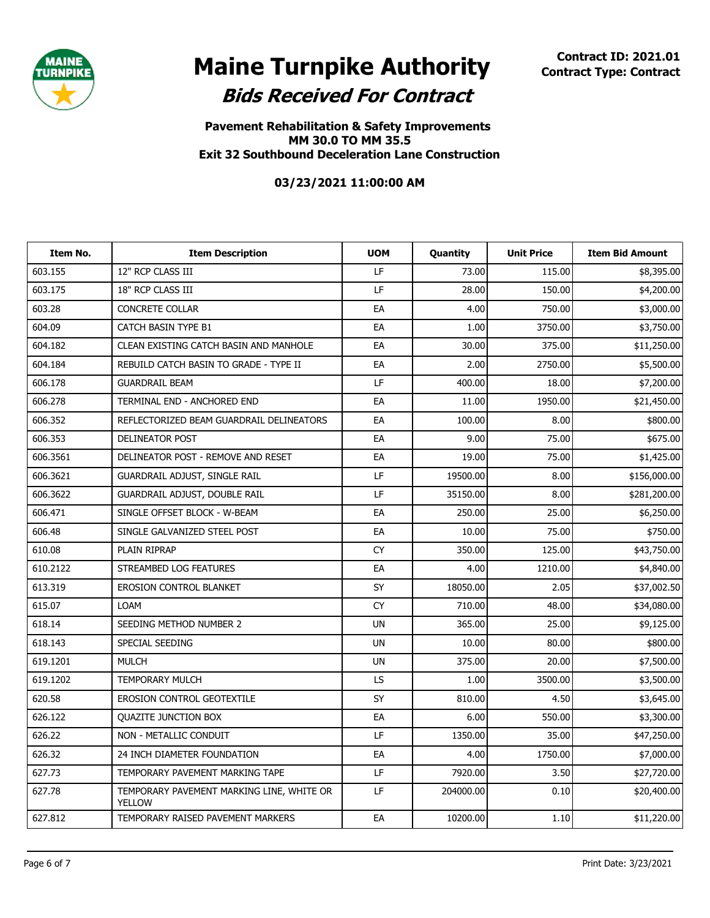

**Pavement Rehabilitation & Safety Improvements MM 30.0 TO MM 35.5 Exit 32 Southbound Deceleration Lane Construction**

| Item No. | <b>Item Description</b>                                    | <b>UOM</b> | Quantity  | <b>Unit Price</b> | <b>Item Bid Amount</b> |
|----------|------------------------------------------------------------|------------|-----------|-------------------|------------------------|
| 603.155  | 12" RCP CLASS III                                          | LF         | 73.00     | 115.00            | \$8,395.00             |
| 603.175  | 18" RCP CLASS III                                          | LF         | 28.00     | 150.00            | \$4,200.00             |
| 603.28   | <b>CONCRETE COLLAR</b>                                     | EA         | 4.00      | 750.00            | \$3,000.00             |
| 604.09   | CATCH BASIN TYPE B1                                        | EA         | 1.00      | 3750.00           | \$3,750.00             |
| 604.182  | CLEAN EXISTING CATCH BASIN AND MANHOLE                     | EA         | 30.00     | 375.00            | \$11,250.00            |
| 604.184  | REBUILD CATCH BASIN TO GRADE - TYPE II                     | EA         | 2.00      | 2750.00           | \$5,500.00             |
| 606.178  | <b>GUARDRAIL BEAM</b>                                      | LF         | 400.00    | 18.00             | \$7,200.00             |
| 606.278  | TERMINAL END - ANCHORED END                                | EA         | 11.00     | 1950.00           | \$21,450.00            |
| 606.352  | REFLECTORIZED BEAM GUARDRAIL DELINEATORS                   | EA         | 100.00    | 8.00              | \$800.00               |
| 606.353  | DELINEATOR POST                                            | EA         | 9.00      | 75.00             | \$675.00               |
| 606.3561 | DELINEATOR POST - REMOVE AND RESET                         | EA         | 19.00     | 75.00             | \$1,425.00             |
| 606.3621 | GUARDRAIL ADJUST, SINGLE RAIL                              | LF         | 19500.00  | 8.00              | \$156,000.00           |
| 606.3622 | GUARDRAIL ADJUST, DOUBLE RAIL                              | LF         | 35150.00  | 8.00              | \$281,200.00           |
| 606.471  | SINGLE OFFSET BLOCK - W-BEAM                               | EA         | 250.00    | 25.00             | \$6,250.00             |
| 606.48   | SINGLE GALVANIZED STEEL POST                               | EA         | 10.00     | 75.00             | \$750.00               |
| 610.08   | PLAIN RIPRAP                                               | <b>CY</b>  | 350.00    | 125.00            | \$43,750.00            |
| 610.2122 | STREAMBED LOG FEATURES                                     | EA         | 4.00      | 1210.00           | \$4,840.00             |
| 613.319  | <b>EROSION CONTROL BLANKET</b>                             | SY         | 18050.00  | 2.05              | \$37,002.50            |
| 615.07   | <b>LOAM</b>                                                | CY         | 710.00    | 48.00             | \$34,080.00            |
| 618.14   | SEEDING METHOD NUMBER 2                                    | <b>UN</b>  | 365.00    | 25.00             | \$9,125.00             |
| 618.143  | SPECIAL SEEDING                                            | <b>UN</b>  | 10.00     | 80.00             | \$800.00               |
| 619.1201 | <b>MULCH</b>                                               | UN         | 375.00    | 20.00             | \$7,500.00             |
| 619.1202 | <b>TEMPORARY MULCH</b>                                     | LS         | 1.00      | 3500.00           | \$3,500.00             |
| 620.58   | <b>EROSION CONTROL GEOTEXTILE</b>                          | SY         | 810.00    | 4.50              | \$3,645.00             |
| 626.122  | <b>OUAZITE JUNCTION BOX</b>                                | EA         | 6.00      | 550.00            | \$3,300.00             |
| 626.22   | NON - METALLIC CONDUIT                                     | LF         | 1350.00   | 35.00             | \$47,250.00            |
| 626.32   | 24 INCH DIAMETER FOUNDATION                                | EA         | 4.00      | 1750.00           | \$7,000.00             |
| 627.73   | TEMPORARY PAVEMENT MARKING TAPE                            | LF         | 7920.00   | 3.50              | \$27,720.00            |
| 627.78   | TEMPORARY PAVEMENT MARKING LINE, WHITE OR<br><b>YELLOW</b> | LF         | 204000.00 | 0.10              | \$20,400.00            |
| 627.812  | TEMPORARY RAISED PAVEMENT MARKERS                          | EA         | 10200.00  | 1.10              | \$11,220.00            |